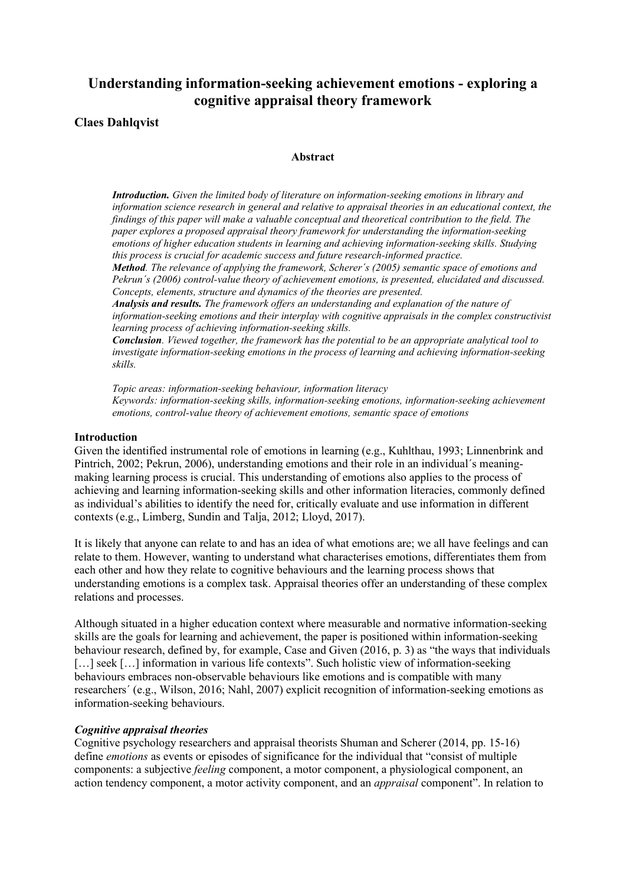# **Understanding information-seeking achievement emotions - exploring a cognitive appraisal theory framework**

# **Claes Dahlqvist**

## **Abstract**

*Introduction. Given the limited body of literature on information-seeking emotions in library and information science research in general and relative to appraisal theories in an educational context, the findings of this paper will make a valuable conceptual and theoretical contribution to the field. The paper explores a proposed appraisal theory framework for understanding the information-seeking emotions of higher education students in learning and achieving information-seeking skills. Studying this process is crucial for academic success and future research-informed practice.* 

*Method. The relevance of applying the framework, Scherer´s (2005) semantic space of emotions and Pekrun´s (2006) control-value theory of achievement emotions, is presented, elucidated and discussed. Concepts, elements, structure and dynamics of the theories are presented.*

*Analysis and results. The framework offers an understanding and explanation of the nature of information-seeking emotions and their interplay with cognitive appraisals in the complex constructivist learning process of achieving information-seeking skills.* 

*Conclusion. Viewed together, the framework has the potential to be an appropriate analytical tool to investigate information-seeking emotions in the process of learning and achieving information-seeking skills.*

*Topic areas: information-seeking behaviour, information literacy Keywords: information-seeking skills, information-seeking emotions, information-seeking achievement emotions, control-value theory of achievement emotions, semantic space of emotions*

#### **Introduction**

Given the identified instrumental role of emotions in learning (e.g., Kuhlthau, 1993; Linnenbrink and Pintrich, 2002; Pekrun, 2006), understanding emotions and their role in an individual´s meaningmaking learning process is crucial. This understanding of emotions also applies to the process of achieving and learning information-seeking skills and other information literacies, commonly defined as individual's abilities to identify the need for, critically evaluate and use information in different contexts (e.g., Limberg, Sundin and Talja, 2012; Lloyd, 2017).

It is likely that anyone can relate to and has an idea of what emotions are; we all have feelings and can relate to them. However, wanting to understand what characterises emotions, differentiates them from each other and how they relate to cognitive behaviours and the learning process shows that understanding emotions is a complex task. Appraisal theories offer an understanding of these complex relations and processes.

Although situated in a higher education context where measurable and normative information-seeking skills are the goals for learning and achievement, the paper is positioned within information-seeking behaviour research, defined by, for example, Case and Given (2016, p. 3) as "the ways that individuals [...] seek [...] information in various life contexts". Such holistic view of information-seeking behaviours embraces non-observable behaviours like emotions and is compatible with many researchers´ (e.g., Wilson, 2016; Nahl, 2007) explicit recognition of information-seeking emotions as information-seeking behaviours.

### *Cognitive appraisal theories*

Cognitive psychology researchers and appraisal theorists Shuman and Scherer (2014, pp. 15-16) define *emotions* as events or episodes of significance for the individual that "consist of multiple components: a subjective *feeling* component, a motor component, a physiological component, an action tendency component, a motor activity component, and an *appraisal* component". In relation to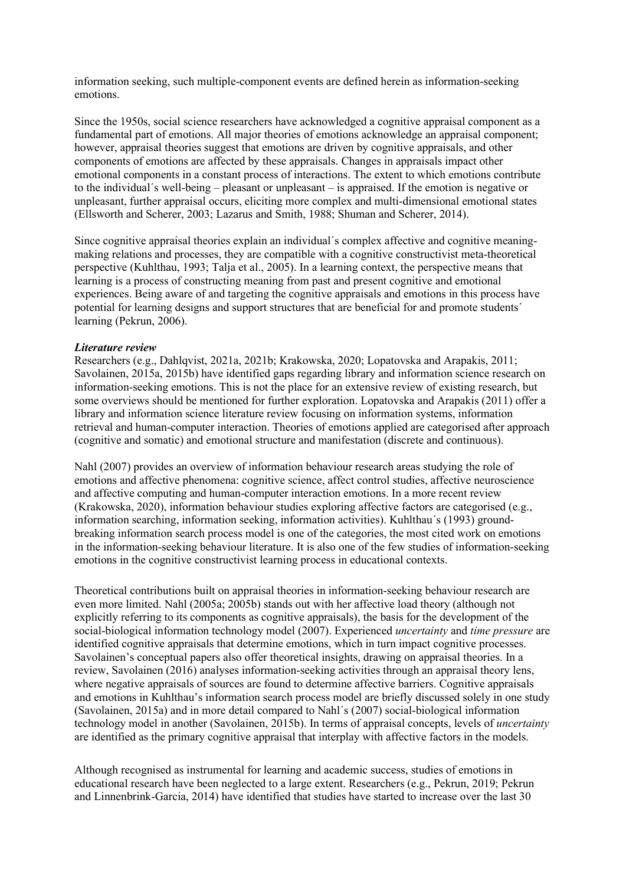information seeking, such multiple-component events are defined herein as information-seeking emotions.

Since the 1950s, social science researchers have acknowledged a cognitive appraisal component as a fundamental part of emotions. All major theories of emotions acknowledge an appraisal component; however, appraisal theories suggest that emotions are driven by cognitive appraisals, and other components of emotions are affected by these appraisals. Changes in appraisals impact other emotional components in a constant process of interactions. The extent to which emotions contribute to the individual´s well-being – pleasant or unpleasant – is appraised. If the emotion is negative or unpleasant, further appraisal occurs, eliciting more complex and multi-dimensional emotional states (Ellsworth and Scherer, 2003; Lazarus and Smith, 1988; Shuman and Scherer, 2014).

Since cognitive appraisal theories explain an individual´s complex affective and cognitive meaningmaking relations and processes, they are compatible with a cognitive constructivist meta-theoretical perspective (Kuhlthau, 1993; Talja et al., 2005). In a learning context, the perspective means that learning is a process of constructing meaning from past and present cognitive and emotional experiences. Being aware of and targeting the cognitive appraisals and emotions in this process have potential for learning designs and support structures that are beneficial for and promote students´ learning (Pekrun, 2006).

# *Literature review*

Researchers (e.g., Dahlqvist, 2021a, 2021b; Krakowska, 2020; Lopatovska and Arapakis, 2011; Savolainen, 2015a, 2015b) have identified gaps regarding library and information science research on information-seeking emotions. This is not the place for an extensive review of existing research, but some overviews should be mentioned for further exploration. Lopatovska and Arapakis (2011) offer a library and information science literature review focusing on information systems, information retrieval and human-computer interaction. Theories of emotions applied are categorised after approach (cognitive and somatic) and emotional structure and manifestation (discrete and continuous).

Nahl (2007) provides an overview of information behaviour research areas studying the role of emotions and affective phenomena: cognitive science, affect control studies, affective neuroscience and affective computing and human-computer interaction emotions. In a more recent review (Krakowska, 2020), information behaviour studies exploring affective factors are categorised (e.g., information searching, information seeking, information activities). Kuhlthau´s (1993) groundbreaking information search process model is one of the categories, the most cited work on emotions in the information-seeking behaviour literature. It is also one of the few studies of information-seeking emotions in the cognitive constructivist learning process in educational contexts.

Theoretical contributions built on appraisal theories in information-seeking behaviour research are even more limited. Nahl (2005a; 2005b) stands out with her affective load theory (although not explicitly referring to its components as cognitive appraisals), the basis for the development of the social-biological information technology model (2007). Experienced *uncertainty* and *time pressure* are identified cognitive appraisals that determine emotions, which in turn impact cognitive processes. Savolainen's conceptual papers also offer theoretical insights, drawing on appraisal theories. In a review, Savolainen (2016) analyses information-seeking activities through an appraisal theory lens, where negative appraisals of sources are found to determine affective barriers. Cognitive appraisals and emotions in Kuhlthau's information search process model are briefly discussed solely in one study (Savolainen, 2015a) and in more detail compared to Nahl´s (2007) social-biological information technology model in another (Savolainen, 2015b). In terms of appraisal concepts, levels of *uncertainty* are identified as the primary cognitive appraisal that interplay with affective factors in the models.

Although recognised as instrumental for learning and academic success, studies of emotions in educational research have been neglected to a large extent. Researchers (e.g., Pekrun, 2019; Pekrun and Linnenbrink-Garcia, 2014) have identified that studies have started to increase over the last 30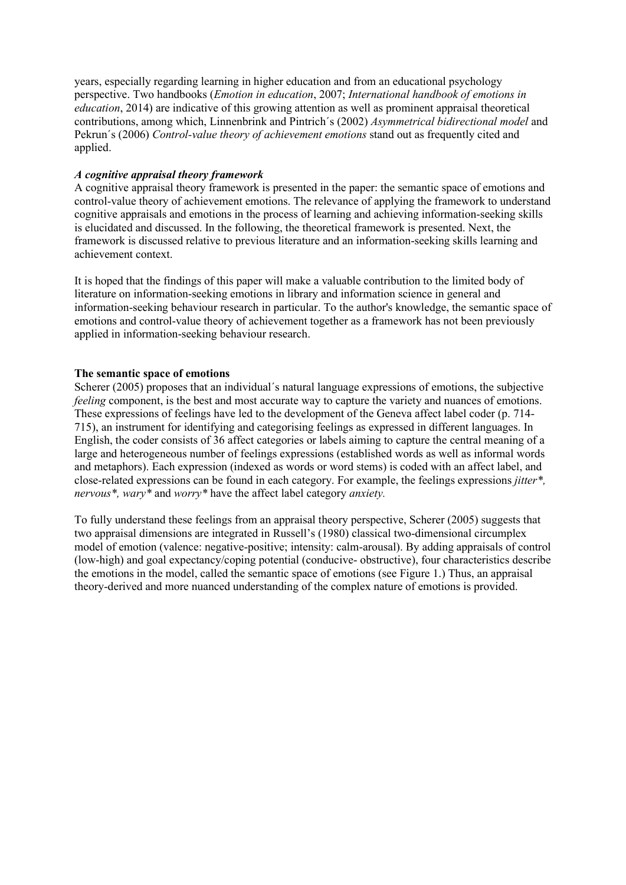years, especially regarding learning in higher education and from an educational psychology perspective. Two handbooks (*Emotion in education*, 2007; *International handbook of emotions in education*, 2014) are indicative of this growing attention as well as prominent appraisal theoretical contributions, among which, Linnenbrink and Pintrich´s (2002) *Asymmetrical bidirectional model* and Pekrun´s (2006) *Control-value theory of achievement emotions* stand out as frequently cited and applied.

# *A cognitive appraisal theory framework*

A cognitive appraisal theory framework is presented in the paper: the semantic space of emotions and control-value theory of achievement emotions. The relevance of applying the framework to understand cognitive appraisals and emotions in the process of learning and achieving information-seeking skills is elucidated and discussed. In the following, the theoretical framework is presented. Next, the framework is discussed relative to previous literature and an information-seeking skills learning and achievement context.

It is hoped that the findings of this paper will make a valuable contribution to the limited body of literature on information-seeking emotions in library and information science in general and information-seeking behaviour research in particular. To the author's knowledge, the semantic space of emotions and control-value theory of achievement together as a framework has not been previously applied in information-seeking behaviour research.

# **The semantic space of emotions**

Scherer (2005) proposes that an individual´s natural language expressions of emotions, the subjective *feeling* component, is the best and most accurate way to capture the variety and nuances of emotions. These expressions of feelings have led to the development of the Geneva affect label coder (p. 714- 715), an instrument for identifying and categorising feelings as expressed in different languages. In English, the coder consists of 36 affect categories or labels aiming to capture the central meaning of a large and heterogeneous number of feelings expressions (established words as well as informal words and metaphors). Each expression (indexed as words or word stems) is coded with an affect label, and close-related expressions can be found in each category. For example, the feelings expressions *jitter\*, nervous\*, wary\** and *worry\** have the affect label category *anxiety.*

To fully understand these feelings from an appraisal theory perspective, Scherer (2005) suggests that two appraisal dimensions are integrated in Russell's (1980) classical two-dimensional circumplex model of emotion (valence: negative-positive; intensity: calm-arousal). By adding appraisals of control (low-high) and goal expectancy/coping potential (conducive- obstructive), four characteristics describe the emotions in the model, called the semantic space of emotions (see Figure 1.) Thus, an appraisal theory-derived and more nuanced understanding of the complex nature of emotions is provided.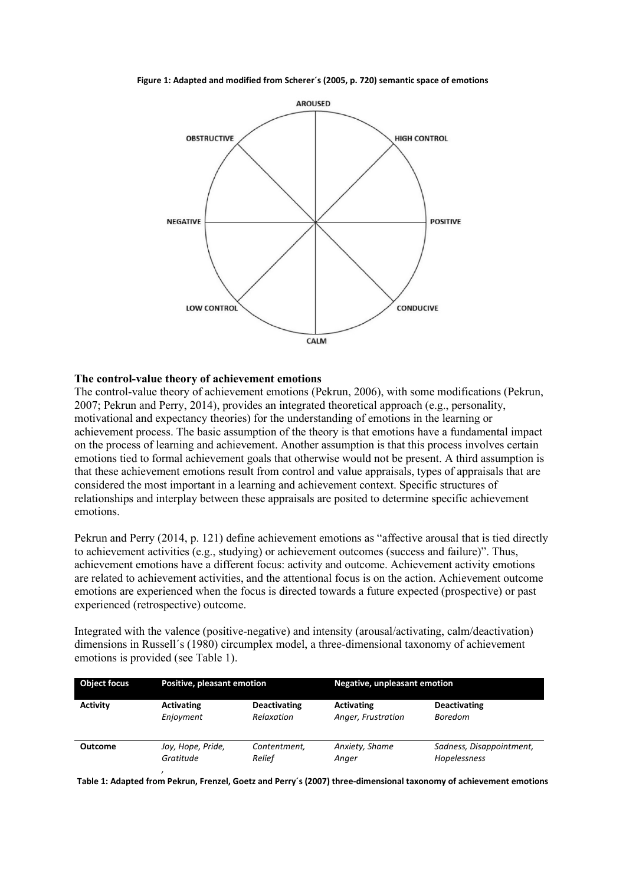**Figure 1: Adapted and modified from Scherer´s (2005, p. 720) semantic space of emotions**



## **The control-value theory of achievement emotions**

The control-value theory of achievement emotions (Pekrun, 2006), with some modifications (Pekrun, 2007; Pekrun and Perry, 2014), provides an integrated theoretical approach (e.g., personality, motivational and expectancy theories) for the understanding of emotions in the learning or achievement process. The basic assumption of the theory is that emotions have a fundamental impact on the process of learning and achievement. Another assumption is that this process involves certain emotions tied to formal achievement goals that otherwise would not be present. A third assumption is that these achievement emotions result from control and value appraisals, types of appraisals that are considered the most important in a learning and achievement context. Specific structures of relationships and interplay between these appraisals are posited to determine specific achievement emotions.

Pekrun and Perry (2014, p. 121) define achievement emotions as "affective arousal that is tied directly to achievement activities (e.g., studying) or achievement outcomes (success and failure)". Thus, achievement emotions have a different focus: activity and outcome. Achievement activity emotions are related to achievement activities, and the attentional focus is on the action. Achievement outcome emotions are experienced when the focus is directed towards a future expected (prospective) or past experienced (retrospective) outcome.

Integrated with the valence (positive-negative) and intensity (arousal/activating, calm/deactivation) dimensions in Russell´s (1980) circumplex model, a three-dimensional taxonomy of achievement emotions is provided (see Table 1).

| <b>Object focus</b> | Positive, pleasant emotion |                     | <b>Negative, unpleasant emotion</b> |                          |
|---------------------|----------------------------|---------------------|-------------------------------------|--------------------------|
| Activity            | <b>Activating</b>          | <b>Deactivating</b> | <b>Activating</b>                   | <b>Deactivating</b>      |
|                     | Enjoyment                  | Relaxation          | Anger, Frustration                  | <b>Boredom</b>           |
| <b>Outcome</b>      | Joy, Hope, Pride,          | Contentment,        | Anxiety, Shame                      | Sadness, Disappointment, |
|                     | Gratitude                  | Relief              | Anger                               | Hopelessness             |

**Table 1: Adapted from Pekrun, Frenzel, Goetz and Perry´s (2007) three-dimensional taxonomy of achievement emotions**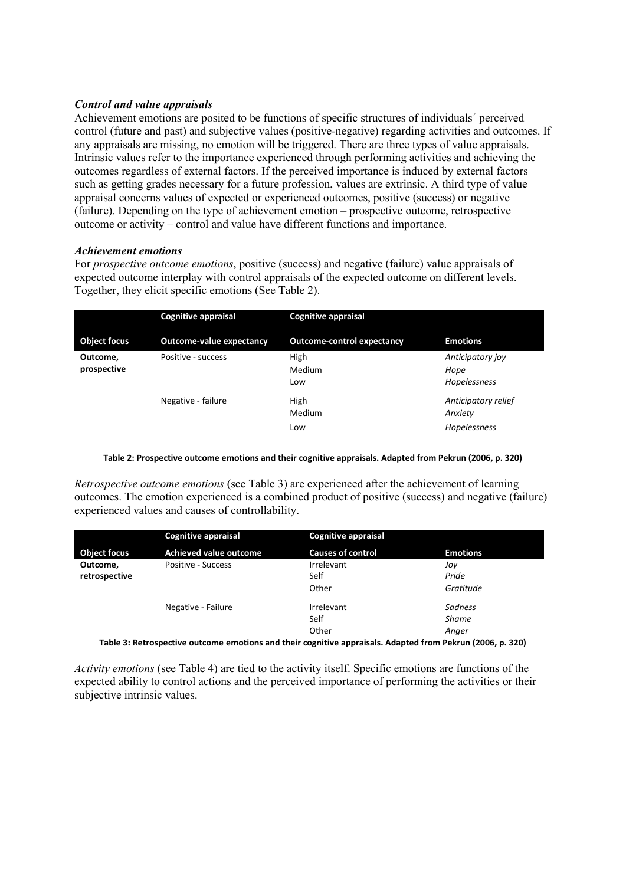# *Control and value appraisals*

Achievement emotions are posited to be functions of specific structures of individuals´ perceived control (future and past) and subjective values (positive-negative) regarding activities and outcomes. If any appraisals are missing, no emotion will be triggered. There are three types of value appraisals. Intrinsic values refer to the importance experienced through performing activities and achieving the outcomes regardless of external factors. If the perceived importance is induced by external factors such as getting grades necessary for a future profession, values are extrinsic. A third type of value appraisal concerns values of expected or experienced outcomes, positive (success) or negative (failure). Depending on the type of achievement emotion – prospective outcome, retrospective outcome or activity – control and value have different functions and importance.

# *Achievement emotions*

For *prospective outcome emotions*, positive (success) and negative (failure) value appraisals of expected outcome interplay with control appraisals of the expected outcome on different levels. Together, they elicit specific emotions (See Table 2).

|                         | <b>Cognitive appraisal</b>      | <b>Cognitive appraisal</b>        |                                                |
|-------------------------|---------------------------------|-----------------------------------|------------------------------------------------|
| <b>Object focus</b>     | <b>Outcome-value expectancy</b> | <b>Outcome-control expectancy</b> | <b>Emotions</b>                                |
| Outcome,<br>prospective | Positive - success              | High<br>Medium<br>Low             | Anticipatory joy<br>Hope<br>Hopelessness       |
|                         | Negative - failure              | High<br>Medium<br>Low             | Anticipatory relief<br>Anxiety<br>Hopelessness |

## **Table 2: Prospective outcome emotions and their cognitive appraisals. Adapted from Pekrun (2006, p. 320)**

*Retrospective outcome emotions* (see Table 3) are experienced after the achievement of learning outcomes. The emotion experienced is a combined product of positive (success) and negative (failure) experienced values and causes of controllability.

| <b>Cognitive appraisal</b>    | <b>Cognitive appraisal</b> |                 |
|-------------------------------|----------------------------|-----------------|
| <b>Achieved value outcome</b> | <b>Causes of control</b>   | <b>Emotions</b> |
| Positive - Success            | Irrelevant                 | Jov             |
|                               | Self                       | Pride           |
|                               | Other                      | Gratitude       |
| Negative - Failure            | Irrelevant                 | Sadness         |
|                               | Self                       | <b>Shame</b>    |
|                               | Other                      | Anger           |
|                               |                            |                 |

**Table 3: Retrospective outcome emotions and their cognitive appraisals. Adapted from Pekrun (2006, p. 320)**

*Activity emotions* (see Table 4) are tied to the activity itself. Specific emotions are functions of the expected ability to control actions and the perceived importance of performing the activities or their subjective intrinsic values.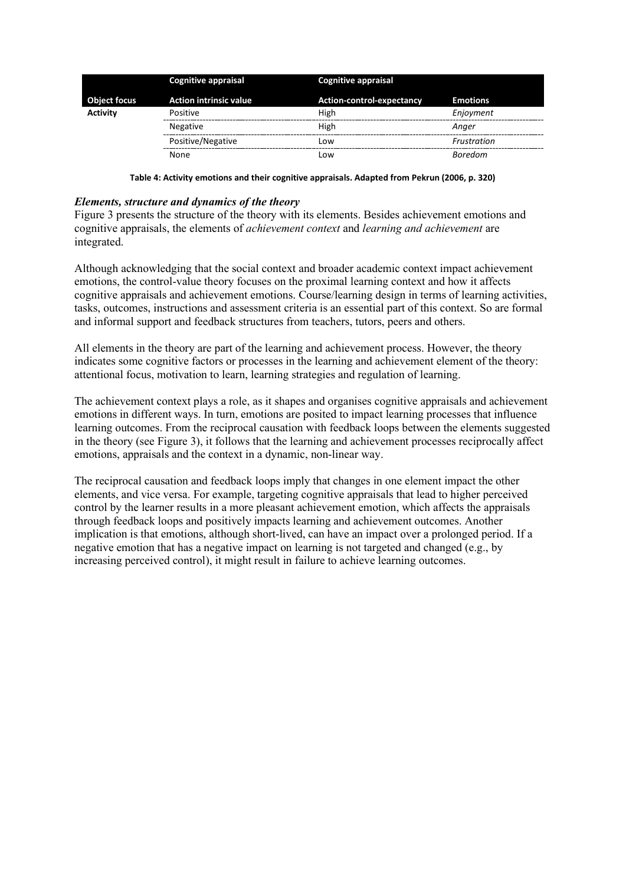|                     | <b>Cognitive appraisal</b>    | <b>Cognitive appraisal</b> |                 |
|---------------------|-------------------------------|----------------------------|-----------------|
| <b>Object focus</b> | <b>Action intrinsic value</b> | Action-control-expectancy  | <b>Emotions</b> |
| <b>Activity</b>     | Positive                      | High                       | Enjoyment       |
|                     | <b>Negative</b>               | High                       | Anaer           |
|                     | Positive/Negative             | Low                        | Frustration     |
|                     | None                          | Low                        | <b>Boredom</b>  |

**Table 4: Activity emotions and their cognitive appraisals. Adapted from Pekrun (2006, p. 320)**

## *Elements, structure and dynamics of the theory*

Figure 3 presents the structure of the theory with its elements. Besides achievement emotions and cognitive appraisals, the elements of *achievement context* and *learning and achievement* are integrated.

Although acknowledging that the social context and broader academic context impact achievement emotions, the control-value theory focuses on the proximal learning context and how it affects cognitive appraisals and achievement emotions. Course/learning design in terms of learning activities, tasks, outcomes, instructions and assessment criteria is an essential part of this context. So are formal and informal support and feedback structures from teachers, tutors, peers and others.

All elements in the theory are part of the learning and achievement process. However, the theory indicates some cognitive factors or processes in the learning and achievement element of the theory: attentional focus, motivation to learn, learning strategies and regulation of learning.

The achievement context plays a role, as it shapes and organises cognitive appraisals and achievement emotions in different ways. In turn, emotions are posited to impact learning processes that influence learning outcomes. From the reciprocal causation with feedback loops between the elements suggested in the theory (see Figure 3), it follows that the learning and achievement processes reciprocally affect emotions, appraisals and the context in a dynamic, non-linear way.

The reciprocal causation and feedback loops imply that changes in one element impact the other elements, and vice versa. For example, targeting cognitive appraisals that lead to higher perceived control by the learner results in a more pleasant achievement emotion, which affects the appraisals through feedback loops and positively impacts learning and achievement outcomes. Another implication is that emotions, although short-lived, can have an impact over a prolonged period. If a negative emotion that has a negative impact on learning is not targeted and changed (e.g., by increasing perceived control), it might result in failure to achieve learning outcomes.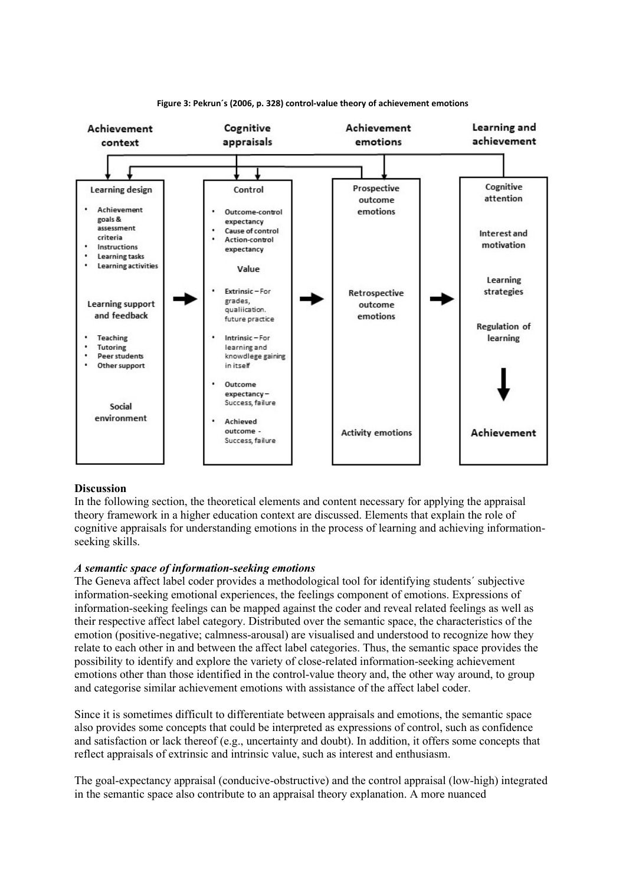

#### **Figure 3: Pekrun´s (2006, p. 328) control-value theory of achievement emotions**

### **Discussion**

In the following section, the theoretical elements and content necessary for applying the appraisal theory framework in a higher education context are discussed. Elements that explain the role of cognitive appraisals for understanding emotions in the process of learning and achieving informationseeking skills.

### *A semantic space of information-seeking emotions*

The Geneva affect label coder provides a methodological tool for identifying students´ subjective information-seeking emotional experiences, the feelings component of emotions. Expressions of information-seeking feelings can be mapped against the coder and reveal related feelings as well as their respective affect label category. Distributed over the semantic space, the characteristics of the emotion (positive-negative; calmness-arousal) are visualised and understood to recognize how they relate to each other in and between the affect label categories. Thus, the semantic space provides the possibility to identify and explore the variety of close-related information-seeking achievement emotions other than those identified in the control-value theory and, the other way around, to group and categorise similar achievement emotions with assistance of the affect label coder.

Since it is sometimes difficult to differentiate between appraisals and emotions, the semantic space also provides some concepts that could be interpreted as expressions of control, such as confidence and satisfaction or lack thereof (e.g., uncertainty and doubt). In addition, it offers some concepts that reflect appraisals of extrinsic and intrinsic value, such as interest and enthusiasm.

The goal-expectancy appraisal (conducive-obstructive) and the control appraisal (low-high) integrated in the semantic space also contribute to an appraisal theory explanation. A more nuanced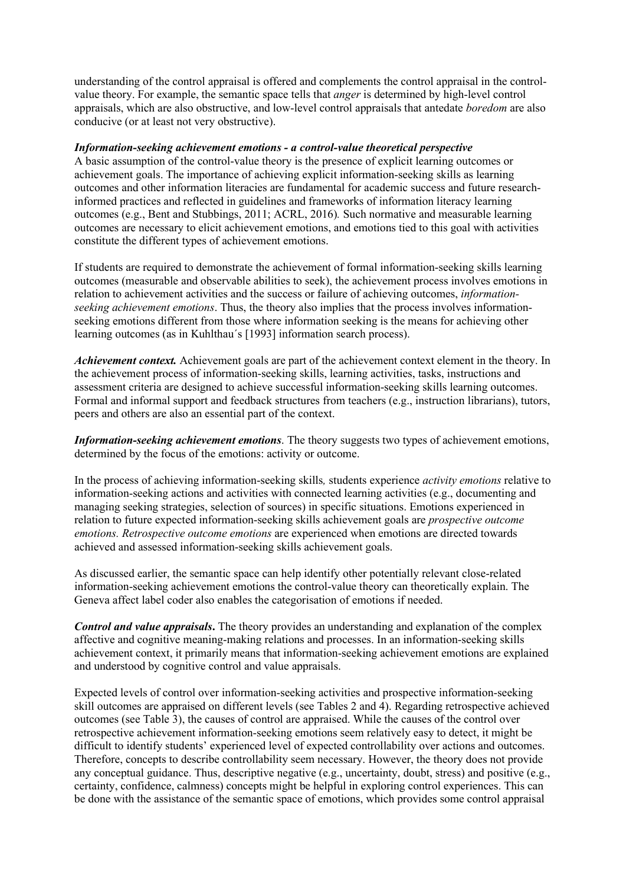understanding of the control appraisal is offered and complements the control appraisal in the controlvalue theory. For example, the semantic space tells that *anger* is determined by high-level control appraisals, which are also obstructive, and low-level control appraisals that antedate *boredom* are also conducive (or at least not very obstructive).

## *Information-seeking achievement emotions - a control-value theoretical perspective*

A basic assumption of the control-value theory is the presence of explicit learning outcomes or achievement goals. The importance of achieving explicit information-seeking skills as learning outcomes and other information literacies are fundamental for academic success and future researchinformed practices and reflected in guidelines and frameworks of information literacy learning outcomes (e.g., Bent and Stubbings, 2011; ACRL, 2016)*.* Such normative and measurable learning outcomes are necessary to elicit achievement emotions, and emotions tied to this goal with activities constitute the different types of achievement emotions.

If students are required to demonstrate the achievement of formal information-seeking skills learning outcomes (measurable and observable abilities to seek), the achievement process involves emotions in relation to achievement activities and the success or failure of achieving outcomes, *informationseeking achievement emotions*. Thus, the theory also implies that the process involves informationseeking emotions different from those where information seeking is the means for achieving other learning outcomes (as in Kuhlthau´s [1993] information search process).

*Achievement context.* Achievement goals are part of the achievement context element in the theory. In the achievement process of information-seeking skills, learning activities, tasks, instructions and assessment criteria are designed to achieve successful information-seeking skills learning outcomes. Formal and informal support and feedback structures from teachers (e.g., instruction librarians), tutors, peers and others are also an essential part of the context.

*Information-seeking achievement emotions*. The theory suggests two types of achievement emotions, determined by the focus of the emotions: activity or outcome.

In the process of achieving information-seeking skills*,* students experience *activity emotions* relative to information-seeking actions and activities with connected learning activities (e.g., documenting and managing seeking strategies, selection of sources) in specific situations. Emotions experienced in relation to future expected information-seeking skills achievement goals are *prospective outcome emotions. Retrospective outcome emotions* are experienced when emotions are directed towards achieved and assessed information-seeking skills achievement goals.

As discussed earlier, the semantic space can help identify other potentially relevant close-related information-seeking achievement emotions the control-value theory can theoretically explain. The Geneva affect label coder also enables the categorisation of emotions if needed.

*Control and value appraisals***.** The theory provides an understanding and explanation of the complex affective and cognitive meaning-making relations and processes. In an information-seeking skills achievement context, it primarily means that information-seeking achievement emotions are explained and understood by cognitive control and value appraisals.

Expected levels of control over information-seeking activities and prospective information-seeking skill outcomes are appraised on different levels (see Tables 2 and 4). Regarding retrospective achieved outcomes (see Table 3), the causes of control are appraised. While the causes of the control over retrospective achievement information-seeking emotions seem relatively easy to detect, it might be difficult to identify students' experienced level of expected controllability over actions and outcomes. Therefore, concepts to describe controllability seem necessary. However, the theory does not provide any conceptual guidance. Thus, descriptive negative (e.g., uncertainty, doubt, stress) and positive (e.g., certainty, confidence, calmness) concepts might be helpful in exploring control experiences. This can be done with the assistance of the semantic space of emotions, which provides some control appraisal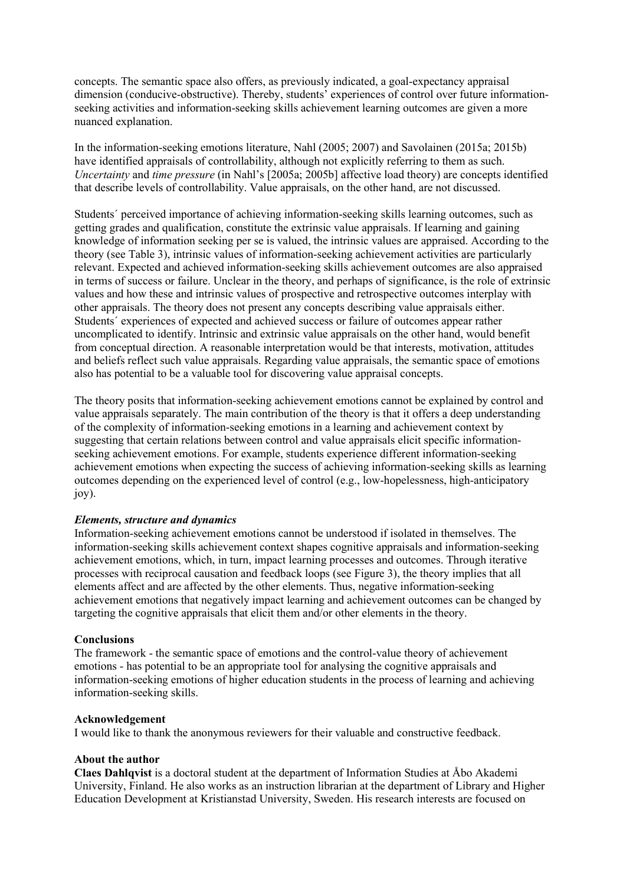concepts. The semantic space also offers, as previously indicated, a goal-expectancy appraisal dimension (conducive-obstructive). Thereby, students' experiences of control over future informationseeking activities and information-seeking skills achievement learning outcomes are given a more nuanced explanation.

In the information-seeking emotions literature, Nahl (2005; 2007) and Savolainen (2015a; 2015b) have identified appraisals of controllability, although not explicitly referring to them as such. *Uncertainty* and *time pressure* (in Nahl's [2005a; 2005b] affective load theory) are concepts identified that describe levels of controllability. Value appraisals, on the other hand, are not discussed.

Students´ perceived importance of achieving information-seeking skills learning outcomes, such as getting grades and qualification, constitute the extrinsic value appraisals. If learning and gaining knowledge of information seeking per se is valued, the intrinsic values are appraised. According to the theory (see Table 3), intrinsic values of information-seeking achievement activities are particularly relevant. Expected and achieved information-seeking skills achievement outcomes are also appraised in terms of success or failure. Unclear in the theory, and perhaps of significance, is the role of extrinsic values and how these and intrinsic values of prospective and retrospective outcomes interplay with other appraisals. The theory does not present any concepts describing value appraisals either. Students´ experiences of expected and achieved success or failure of outcomes appear rather uncomplicated to identify. Intrinsic and extrinsic value appraisals on the other hand, would benefit from conceptual direction. A reasonable interpretation would be that interests, motivation, attitudes and beliefs reflect such value appraisals. Regarding value appraisals, the semantic space of emotions also has potential to be a valuable tool for discovering value appraisal concepts.

The theory posits that information-seeking achievement emotions cannot be explained by control and value appraisals separately. The main contribution of the theory is that it offers a deep understanding of the complexity of information-seeking emotions in a learning and achievement context by suggesting that certain relations between control and value appraisals elicit specific informationseeking achievement emotions. For example, students experience different information-seeking achievement emotions when expecting the success of achieving information-seeking skills as learning outcomes depending on the experienced level of control (e.g., low-hopelessness, high-anticipatory joy).

# *Elements, structure and dynamics*

Information-seeking achievement emotions cannot be understood if isolated in themselves. The information-seeking skills achievement context shapes cognitive appraisals and information-seeking achievement emotions, which, in turn, impact learning processes and outcomes. Through iterative processes with reciprocal causation and feedback loops (see Figure 3), the theory implies that all elements affect and are affected by the other elements. Thus, negative information-seeking achievement emotions that negatively impact learning and achievement outcomes can be changed by targeting the cognitive appraisals that elicit them and/or other elements in the theory.

### **Conclusions**

The framework - the semantic space of emotions and the control-value theory of achievement emotions - has potential to be an appropriate tool for analysing the cognitive appraisals and information-seeking emotions of higher education students in the process of learning and achieving information-seeking skills.

### **Acknowledgement**

I would like to thank the anonymous reviewers for their valuable and constructive feedback.

## **About the author**

**Claes Dahlqvist** is a doctoral student at the department of Information Studies at Åbo Akademi University, Finland. He also works as an instruction librarian at the department of Library and Higher Education Development at Kristianstad University, Sweden. His research interests are focused on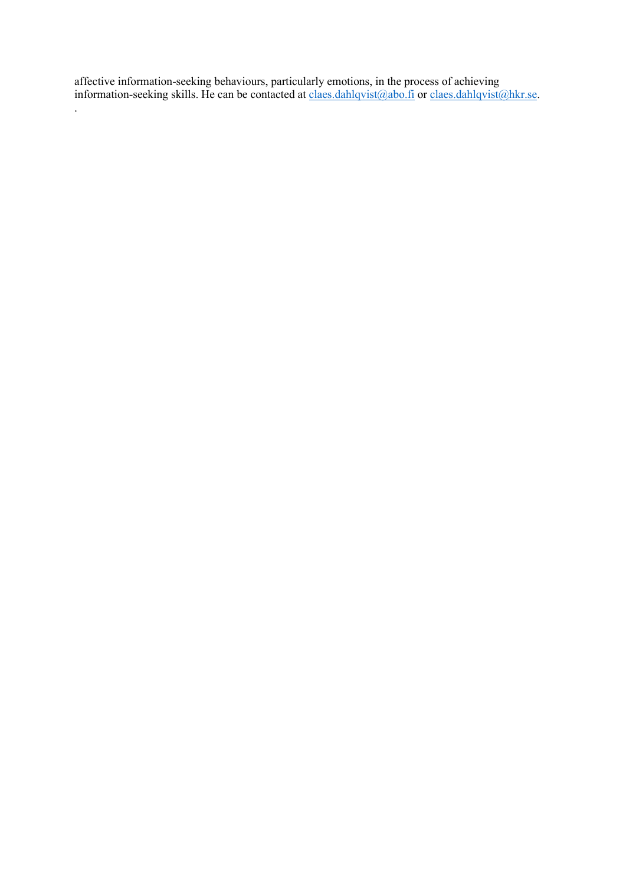affective information-seeking behaviours, particularly emotions, in the process of achieving information-seeking skills. He can be contacted at claes.dahlqvist@abo.fi or claes.dahlqvist@hkr.se.

.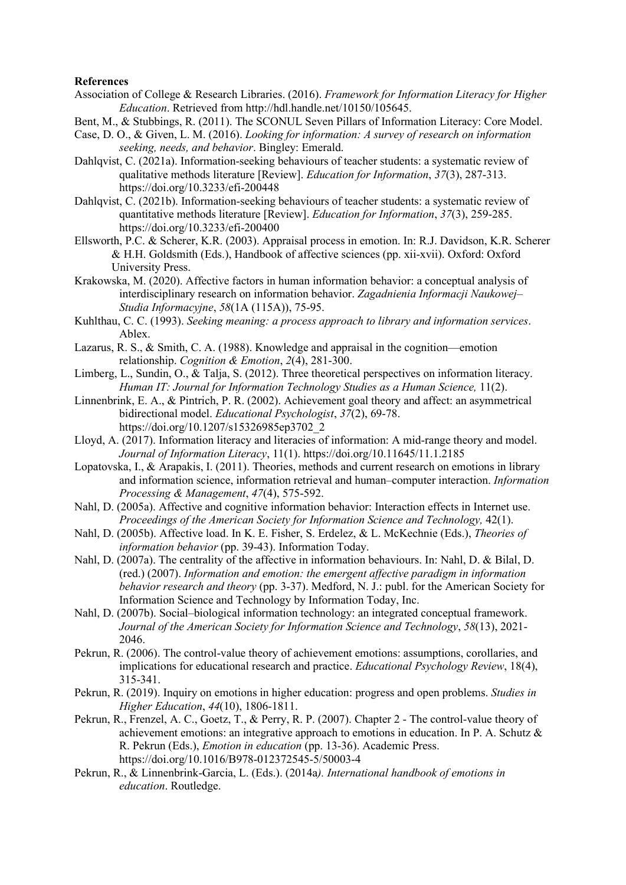## **References**

- Association of College & Research Libraries. (2016). *Framework for Information Literacy for Higher Education*. Retrieved from [http://hdl.handle.net/10150/105645.](http://hdl.handle.net/10150/105645)
- Bent, M., & Stubbings, R. (2011). The SCONUL Seven Pillars of Information Literacy: Core Model.
- Case, D. O., & Given, L. M. (2016). *Looking for information: A survey of research on information seeking, needs, and behavior*. Bingley: Emerald.
- Dahlqvist, C. (2021a). Information-seeking behaviours of teacher students: a systematic review of qualitative methods literature [Review]. *Education for Information*, *37*(3), 287-313. https://doi.org/10.3233/efi-200448
- Dahlqvist, C. (2021b). Information-seeking behaviours of teacher students: a systematic review of quantitative methods literature [Review]. *Education for Information*, *37*(3), 259-285. https://doi.org/10.3233/efi-200400
- Ellsworth, P.C. & Scherer, K.R. (2003). Appraisal process in emotion. In: R.J. Davidson, K.R. Scherer & H.H. Goldsmith (Eds.), Handbook of affective sciences (pp. xii-xvii). Oxford: Oxford University Press.
- Krakowska, M. (2020). Affective factors in human information behavior: a conceptual analysis of interdisciplinary research on information behavior. *Zagadnienia Informacji Naukowej– Studia Informacyjne*, *58*(1A (115A)), 75-95.
- Kuhlthau, C. C. (1993). *Seeking meaning: a process approach to library and information services*. Ablex.
- Lazarus, R. S., & Smith, C. A. (1988). Knowledge and appraisal in the cognition—emotion relationship. *Cognition & Emotion*, *2*(4), 281-300.
- Limberg, L., Sundin, O., & Talja, S. (2012). Three theoretical perspectives on information literacy. *Human IT: Journal for Information Technology Studies as a Human Science,* 11(2).
- Linnenbrink, E. A., & Pintrich, P. R. (2002). Achievement goal theory and affect: an asymmetrical bidirectional model. *Educational Psychologist*, *37*(2), 69-78. https://doi.org/10.1207/s15326985ep3702\_2
- Lloyd, A. (2017). Information literacy and literacies of information: A mid-range theory and model. *Journal of Information Literacy*, 11(1). https://doi.org/10.11645/11.1.2185
- Lopatovska, I., & Arapakis, I. (2011). Theories, methods and current research on emotions in library and information science, information retrieval and human–computer interaction. *Information Processing & Management*, *47*(4), 575-592.
- Nahl, D. (2005a). Affective and cognitive information behavior: Interaction effects in Internet use. *Proceedings of the American Society for Information Science and Technology,* 42(1).
- Nahl, D. (2005b). Affective load. In K. E. Fisher, S. Erdelez, & L. McKechnie (Eds.), *Theories of information behavior* (pp. 39-43). Information Today.
- Nahl, D. (2007a). The centrality of the affective in information behaviours. In: Nahl, D. & Bilal, D. (red.) (2007). *Information and emotion: the emergent affective paradigm in information behavior research and theory* (pp. 3-37). Medford, N. J.: publ. for the American Society for Information Science and Technology by Information Today, Inc.
- Nahl, D. (2007b). Social–biological information technology: an integrated conceptual framework. *Journal of the American Society for Information Science and Technology*, *58*(13), 2021- 2046.
- Pekrun, R. (2006). The control-value theory of achievement emotions: assumptions, corollaries, and implications for educational research and practice. *Educational Psychology Review*, 18(4), 315-341.
- Pekrun, R. (2019). Inquiry on emotions in higher education: progress and open problems. *Studies in Higher Education*, *44*(10), 1806-1811.
- Pekrun, R., Frenzel, A. C., Goetz, T., & Perry, R. P. (2007). Chapter 2 The control-value theory of achievement emotions: an integrative approach to emotions in education. In P. A. Schutz & R. Pekrun (Eds.), *Emotion in education* (pp. 13-36). Academic Press. https://doi.org/10.1016/B978-012372545-5/50003-4
- Pekrun, R., & Linnenbrink-Garcia, L. (Eds.). (2014a*). International handbook of emotions in education*. Routledge.